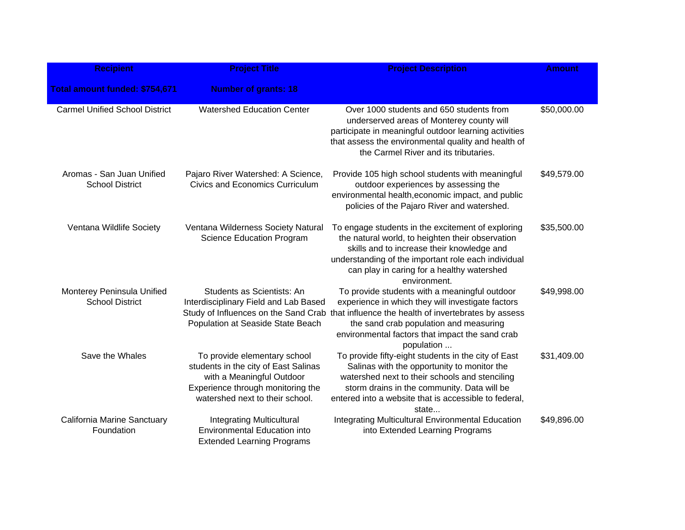| <b>Recipient</b>                                     | <b>Project Title</b>                                                                                                                                                      | <b>Project Description</b>                                                                                                                                                                                                                                                                                 | <b>Amount</b> |
|------------------------------------------------------|---------------------------------------------------------------------------------------------------------------------------------------------------------------------------|------------------------------------------------------------------------------------------------------------------------------------------------------------------------------------------------------------------------------------------------------------------------------------------------------------|---------------|
| Total amount funded: \$754,671                       | <b>Number of grants: 18</b>                                                                                                                                               |                                                                                                                                                                                                                                                                                                            |               |
| <b>Carmel Unified School District</b>                | <b>Watershed Education Center</b>                                                                                                                                         | Over 1000 students and 650 students from<br>underserved areas of Monterey county will<br>participate in meaningful outdoor learning activities<br>that assess the environmental quality and health of<br>the Carmel River and its tributaries.                                                             | \$50,000.00   |
| Aromas - San Juan Unified<br><b>School District</b>  | Pajaro River Watershed: A Science,<br><b>Civics and Economics Curriculum</b>                                                                                              | Provide 105 high school students with meaningful<br>outdoor experiences by assessing the<br>environmental health, economic impact, and public<br>policies of the Pajaro River and watershed.                                                                                                               | \$49,579.00   |
| Ventana Wildlife Society                             | Ventana Wilderness Society Natural<br><b>Science Education Program</b>                                                                                                    | To engage students in the excitement of exploring<br>the natural world, to heighten their observation<br>skills and to increase their knowledge and<br>understanding of the important role each individual<br>can play in caring for a healthy watershed<br>environment.                                   | \$35,500.00   |
| Monterey Peninsula Unified<br><b>School District</b> | Students as Scientists: An<br>Interdisciplinary Field and Lab Based<br>Population at Seaside State Beach                                                                  | To provide students with a meaningful outdoor<br>experience in which they will investigate factors<br>Study of Influences on the Sand Crab that influence the health of invertebrates by assess<br>the sand crab population and measuring<br>environmental factors that impact the sand crab<br>population | \$49,998.00   |
| Save the Whales                                      | To provide elementary school<br>students in the city of East Salinas<br>with a Meaningful Outdoor<br>Experience through monitoring the<br>watershed next to their school. | To provide fifty-eight students in the city of East<br>Salinas with the opportunity to monitor the<br>watershed next to their schools and stenciling<br>storm drains in the community. Data will be<br>entered into a website that is accessible to federal,<br>state                                      | \$31,409.00   |
| California Marine Sanctuary<br>Foundation            | <b>Integrating Multicultural</b><br><b>Environmental Education into</b><br><b>Extended Learning Programs</b>                                                              | <b>Integrating Multicultural Environmental Education</b><br>into Extended Learning Programs                                                                                                                                                                                                                | \$49,896.00   |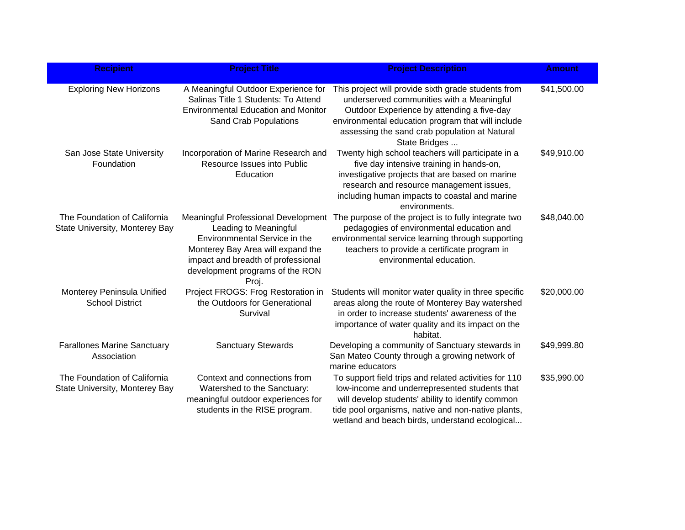| <b>Recipient</b>                                               | <b>Project Title</b>                                                                                                                                                                                                 | <b>Project Description</b>                                                                                                                                                                                                                                            | <b>Amount</b> |
|----------------------------------------------------------------|----------------------------------------------------------------------------------------------------------------------------------------------------------------------------------------------------------------------|-----------------------------------------------------------------------------------------------------------------------------------------------------------------------------------------------------------------------------------------------------------------------|---------------|
| <b>Exploring New Horizons</b>                                  | A Meaningful Outdoor Experience for<br>Salinas Title 1 Students: To Attend<br><b>Environmental Education and Monitor</b><br><b>Sand Crab Populations</b>                                                             | This project will provide sixth grade students from<br>underserved communities with a Meaningful<br>Outdoor Experience by attending a five-day<br>environmental education program that will include<br>assessing the sand crab population at Natural<br>State Bridges | \$41,500.00   |
| San Jose State University<br>Foundation                        | Incorporation of Marine Research and<br>Resource Issues into Public<br>Education                                                                                                                                     | Twenty high school teachers will participate in a<br>five day intensive training in hands-on,<br>investigative projects that are based on marine<br>research and resource management issues,<br>including human impacts to coastal and marine<br>environments.        | \$49,910.00   |
| The Foundation of California<br>State University, Monterey Bay | Meaningful Professional Development<br>Leading to Meaningful<br>Environmnental Service in the<br>Monterey Bay Area will expand the<br>impact and breadth of professional<br>development programs of the RON<br>Proj. | The purpose of the project is to fully integrate two<br>pedagogies of environmental education and<br>environmental service learning through supporting<br>teachers to provide a certificate program in<br>environmental education.                                    | \$48,040.00   |
| Monterey Peninsula Unified<br><b>School District</b>           | Project FROGS: Frog Restoration in<br>the Outdoors for Generational<br>Survival                                                                                                                                      | Students will monitor water quality in three specific<br>areas along the route of Monterey Bay watershed<br>in order to increase students' awareness of the<br>importance of water quality and its impact on the<br>habitat.                                          | \$20,000.00   |
| <b>Farallones Marine Sanctuary</b><br>Association              | <b>Sanctuary Stewards</b>                                                                                                                                                                                            | Developing a community of Sanctuary stewards in<br>San Mateo County through a growing network of<br>marine educators                                                                                                                                                  | \$49,999.80   |
| The Foundation of California<br>State University, Monterey Bay | Context and connections from<br>Watershed to the Sanctuary:<br>meaningful outdoor experiences for<br>students in the RISE program.                                                                                   | To support field trips and related activities for 110<br>low-income and underrepresented students that<br>will develop students' ability to identify common<br>tide pool organisms, native and non-native plants,<br>wetland and beach birds, understand ecological   | \$35,990.00   |